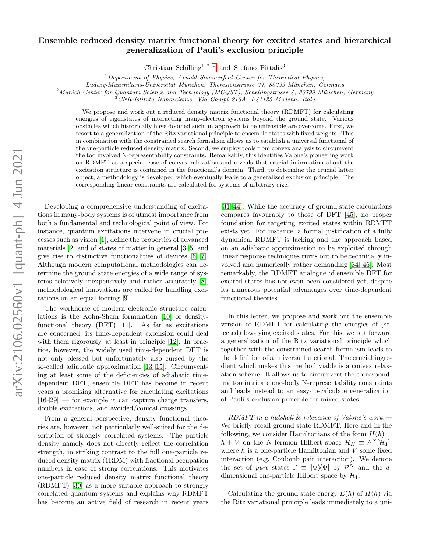## Ensemble reduced density matrix functional theory for excited states and hierarchical generalization of Pauli's exclusion principle

Christian Schilling<sup>1, 2, \*</sup> and Stefano Pittalis<sup>3</sup>

 $1$  Department of Physics, Arnold Sommerfeld Center for Theoretical Physics,

Ludwig-Maximilians-Universität München, Theresienstrasse 37, 80333 München, Germany

 $2$ Munich Center for Quantum Science and Technology (MCQST), Schellingstrasse 4, 80799 München, Germany

 $3$ CNR-Istituto Nanoscienze, Via Campi 213A, I-41125 Modena, Italy

We propose and work out a reduced density matrix functional theory (RDMFT) for calculating energies of eigenstates of interacting many-electron systems beyond the ground state. Various obstacles which historically have doomed such an approach to be unfeasible are overcome. First, we resort to a generalization of the Ritz variational principle to ensemble states with fixed weights. This in combination with the constrained search formalism allows us to establish a universal functional of the one-particle reduced density matrix. Second, we employ tools from convex analysis to circumvent the too involved N-representability constraints. Remarkably, this identifies Valone's pioneering work on RDMFT as a special case of convex relaxation and reveals that crucial information about the excitation structure is contained in the functional's domain. Third, to determine the crucial latter object, a methodology is developed which eventually leads to a generalized exclusion principle. The corresponding linear constraints are calculated for systems of arbitrary size.

Developing a comprehensive understanding of excitations in many-body systems is of utmost importance from both a fundamental and technological point of view. For instance, quantum excitations intervene in crucial processes such as vision [\[1\]](#page-4-1), define the properties of advanced materials [\[2\]](#page-4-2) and of states of matter in general [\[3–](#page-4-3)[5\]](#page-4-4) and give rise to distinctive functionalities of devices [\[6,](#page-4-5) [7\]](#page-4-6). Although modern computational methodologies can determine the ground state energies of a wide range of systems relatively inexpensively and rather accurately [\[8\]](#page-4-7), methodological innovations are called for handling excitations on an equal footing [\[9\]](#page-4-8).

The workhorse of modern electronic structure calculations is the Kohn-Sham formulation [\[10\]](#page-4-9) of densityfunctional theory (DFT) [\[11\]](#page-4-10). As far as excitations are concerned, its time-dependent extension could deal with them rigorously, at least in principle [\[12\]](#page-4-11). In practice, however, the widely used time-dependent DFT is not only blessed but unfortunately also cursed by the so-called adiabatic approximation [\[13–](#page-4-12)[15\]](#page-4-13). Circumventing at least some of the deficiencies of adiabatic timedependent DFT, ensemble DFT has become in recent years a promising alternative for calculating excitations  $[16–29]$  $[16–29]$  — for example it can capture charge transfers, double excitations, and avoided/conical crossings.

From a general perspective, density functional theories are, however, not particularly well-suited for the description of strongly correlated systems. The particle density namely does not directly reflect the correlation strength, in striking contrast to the full one-particle reduced density matrix (1RDM) with fractional occupation numbers in case of strong correlations. This motivates one-particle reduced density matrix functional theory (RDMFT) [\[30\]](#page-5-1) as a more suitable approach to strongly correlated quantum systems and explains why RDMFT has become an active field of research in recent years

[\[31–](#page-5-2)[44\]](#page-5-3). While the accuracy of ground state calculations compares favourably to those of DFT [\[45\]](#page-5-4), no proper foundation for targeting excited states within RDMFT exists yet. For instance, a formal justification of a fully dynamical RDMFT is lacking and the approach based on an adiabatic approximation to be exploited through linear response techniques turns out to be technically involved and numerically rather demanding [\[34,](#page-5-5) [46\]](#page-5-6). Most remarkably, the RDMFT analogue of ensemble DFT for excited states has not even been considered yet, despite its numerous potential advantages over time-dependent functional theories.

In this letter, we propose and work out the ensemble version of RDMFT for calculating the energies of (selected) low-lying excited states. For this, we put forward a generalization of the Ritz variational principle which together with the constrained search formalism leads to the definition of a universal functional. The crucial ingredient which makes this method viable is a convex relaxation scheme. It allows us to circumvent the corresponding too intricate one-body N-representability constraints and leads instead to an easy-to-calculate generalization of Pauli's exclusion principle for mixed states.

RDMFT in a nutshell & relevance of Valone's work.— We briefly recall ground state RDMFT. Here and in the following, we consider Hamiltonians of the form  $H(h) =$  $h + V$  on the N-fermion Hilbert space  $\mathcal{H}_N \equiv \wedge^N [\mathcal{H}_1],$ where  $h$  is a one-particle Hamiltonian and  $V$  some fixed interaction (e.g. Coulomb pair interaction). We denote the set of pure states  $\Gamma \equiv |\Psi\rangle |\Psi|$  by  $\mathcal{P}^N$  and the ddimensional one-particle Hilbert space by  $\mathcal{H}_1$ .

Calculating the ground state energy  $E(h)$  of  $H(h)$  via the Ritz variational principle leads immediately to a uni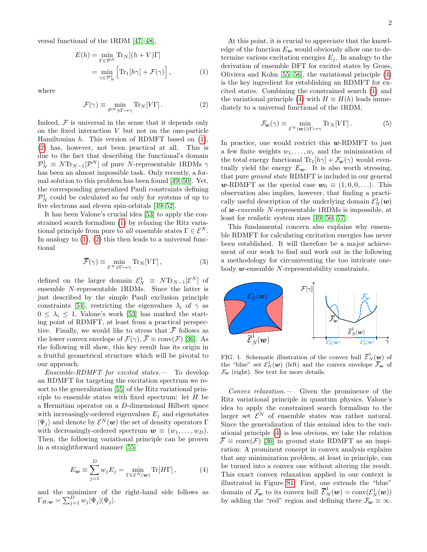versal functional of the 1RDM [\[47,](#page-5-7) [48\]](#page-5-8),

<span id="page-1-0"></span>
$$
E(h) = \min_{\Gamma \in \mathcal{P}^N} \text{Tr}_N[(h + V)\Gamma]
$$
  
= 
$$
\min_{\gamma \in \mathcal{P}^1_N} \left[ \text{Tr}_1[h\gamma] + \mathcal{F}(\gamma) \right],
$$
 (1)

where

<span id="page-1-1"></span>
$$
\mathcal{F}(\gamma) \equiv \min_{\mathcal{P}^N \ni \Gamma \mapsto \gamma} \text{Tr}_N[V\Gamma]. \tag{2}
$$

Indeed,  $F$  is universal in the sense that it depends only on the fixed interaction  $V$  but not on the one-particle Hamiltonian  $h$ . This version of RDMFT based on  $(1)$ , [\(2\)](#page-1-1) has, however, not been practical at all. This is due to the fact that describing the functional's domain  $\mathcal{P}_N^1 \equiv N \text{Tr}_{N-1}[\mathcal{P}^N]$  of pure N-representable 1RDMs  $\gamma$ has been an almost impossible task. Only recently, a formal solution to this problem has been found [\[49,](#page-5-9) [50\]](#page-5-10). Yet, the corresponding generalized Pauli constraints defining  $\mathcal{P}_N^1$  could be calculated so far only for systems of up to five electrons and eleven spin-orbitals [\[49–](#page-5-9)[52\]](#page-5-11).

It has been Valone's crucial idea [\[53\]](#page-5-12) to apply the constrained search formalism [\(1\)](#page-1-0) by relaxing the Ritz variational principle from pure to all ensemble states  $\Gamma \in \mathcal{E}^N$ . In analogy to  $(1)$ ,  $(2)$  this then leads to a universal functional

$$
\overline{\mathcal{F}}(\gamma) \equiv \min_{\mathcal{E}^N \ni \Gamma \mapsto \gamma} \text{Tr}_N[V\Gamma],\tag{3}
$$

defined on the larger domain  $\mathcal{E}_N^1 \equiv N \text{Tr}_{N-1} [\mathcal{E}^N]$  of ensemble N-representable 1RDMs. Since the latter is just described by the simple Pauli exclusion principle constraints [\[54\]](#page-5-13), restricting the eigenvalues  $\lambda_i$  of  $\gamma$  as  $0 \leq \lambda_i \leq 1$ , Valone's work [\[53\]](#page-5-12) has marked the starting point of RDMFT, at least from a practical perspective. Finally, we would like to stress that  $\bar{\mathcal{F}}$  follows as the lower convex envelope of  $\mathcal{F}(\gamma)$ ,  $\overline{\mathcal{F}} \equiv \text{conv}(\mathcal{F})$  [\[36\]](#page-5-14). As the following will show, this key result has its origin in a fruitful geometrical structure which will be pivotal to our approach.

Ensemble-RDMFT for excited states.— To develop an RDMFT for targeting the excitation spectrum we resort to the generalization [\[55\]](#page-5-15) of the Ritz variational principle to ensemble states with fixed spectrum: let  $H$  be a Hermitian operator on a D-dimensional Hilbert space with increasingly-ordered eigenvalues  $E_j$  and eigenstates  $|\Psi_j\rangle$  and denote by  $\mathcal{E}^N(w)$  the set of density operators  $\Gamma$ with decreasingly-ordered spectrum  $\mathbf{w} \equiv (w_1, \ldots, w_D)$ . Then, the following variational principle can be proven in a straightforward manner [\[55\]](#page-5-15)

<span id="page-1-2"></span>
$$
E_{\mathbf{w}} \equiv \sum_{j=1}^{D} w_j E_j = \min_{\Gamma \in \mathcal{E}^N(\mathbf{w})} \text{Tr}[H\Gamma], \tag{4}
$$

and the minimizer of the right-hand side follows as  $\Gamma_{H,\boldsymbol{w}} = \sum_{j=1}^D w_j |\Psi_j\rangle\!\langle\Psi_j|.$ 

At this point, it is crucial to appreciate that the knowledge of the function  $E_{w}$  would obviously allow one to determine various excitation energies  $E_i$ . In analogy to the derivation of ensemble DFT for excited states by Gross, Oliviera and Kohn [\[55,](#page-5-15) [56\]](#page-6-0), the variational principle [\(4\)](#page-1-2) is the key ingredient for establishing an RDMFT for excited states. Combining the constrained search [\(1\)](#page-1-0) and the variational principle [\(4\)](#page-1-2) with  $H \equiv H(h)$  leads immediately to a universal functional of the 1RDM,

$$
\mathcal{F}_{\boldsymbol{w}}(\gamma) \equiv \min_{\mathcal{E}^N(\boldsymbol{w}) \ni \Gamma \mapsto \gamma} \text{Tr}_N[V\Gamma]. \tag{5}
$$

In practice, one would restrict this  $w$ -RDMFT to just a few finite weights  $w_1, \ldots, w_r$  and the minimization of the total energy functional  $\text{Tr}_1[h\gamma] + \mathcal{F}_{w}(\gamma)$  would eventually yield the energy  $E_{w}$ . It is also worth stressing, that pure ground state RDMFT is included in our general w-RDMFT as the special case  $w_0 \equiv (1, 0, 0, \ldots)$ . This observation also implies, however, that finding a practically useful description of the underlying domain  $\mathcal{E}^1_N(\boldsymbol{w})$ of w-ensemble N-representable 1RDMs is impossible, at least for realistic system sizes [\[49,](#page-5-9) [50,](#page-5-10) [57\]](#page-6-1).

This fundamental concern also explains why ensemble RDMFT for calculating excitation energies has never been established. It will therefore be a major achievement of our work to find and work out in the following a methodology for circumventing the too intricate onebody w-ensemble N-representability constraints.



<span id="page-1-3"></span>FIG. 1. Schematic illustration of the convex hull  $\overline{\mathcal{E}}_N^1(w)$  of the "blue" set  $\mathcal{E}_N^1(w)$  (left) and the convex envelope  $\overline{\mathcal{F}}_{w}$  of  $\mathcal{F}_{w}$  (right). See text for more details.

Convex relaxation.— Given the prominence of the Ritz variational principle in quantum physics, Valone's idea to apply the constrained search formalism to the larger set  $\mathcal{E}^N$  of ensemble states was rather natural. Since the generalization of this seminal idea to the variational principle [\(4\)](#page-1-2) is less obvious, we take the relation  $\overline{\mathcal{F}} \equiv \text{conv}(\mathcal{F})$  [\[36\]](#page-5-14) in ground state RDMFT as an inspiration: A prominent concept in convex analysis explains that any minimization problem, at least in principle, can be turned into a convex one without altering the result. This exact convex relaxation applied in our context is illustrated in Figure [S1:](#page-1-3) First, one extends the "blue" domain of  $\mathcal{F}_{w}$  to its convex hull  $\overline{\mathcal{E}}_{N}^{1}(w) = \text{conv}(\mathcal{E}_{N}^{1}(w))$ by adding the "red" region and defining there  $\mathcal{F}_{w} \equiv \infty$ .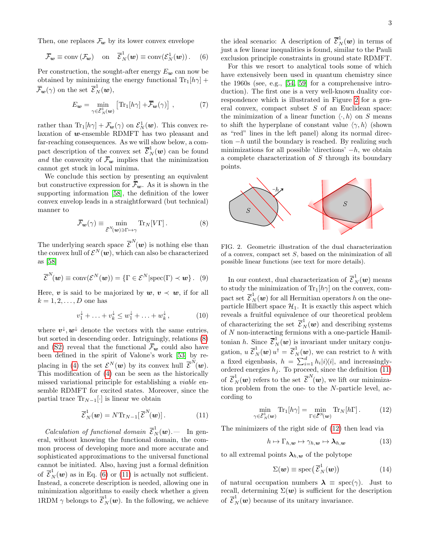Then, one replaces  $\mathcal{F}_{w}$  by its lower convex envelope

<span id="page-2-1"></span>
$$
\overline{\mathcal{F}}_{\mathbf{w}} \equiv \text{conv}\left(\mathcal{F}_{\mathbf{w}}\right) \quad \text{on} \quad \overline{\mathcal{E}}_N^1(\mathbf{w}) \equiv \text{conv}(\mathcal{E}_N^1(\mathbf{w}))\,. \tag{6}
$$

Per construction, the sought-after energy  $E_w$  can now be obtained by minimizing the energy functional  $\text{Tr}_1[h\gamma]$  +  $\overline{\mathcal{F}}_{\mathbf{w}}(\gamma)$  on the set  $\overline{\mathcal{E}}_N^1(\mathbf{w}),$ 

<span id="page-2-7"></span>
$$
E_{\mathbf{w}} = \min_{\gamma \in \bar{\mathcal{E}}_N^1(\mathbf{w})} \left[ \text{Tr}_1[h\gamma] + \overline{\mathcal{F}}_{\mathbf{w}}(\gamma) \right],\tag{7}
$$

rather than  $\text{Tr}_{1}[h\gamma] + \mathcal{F}_{w}(\gamma)$  on  $\mathcal{E}_{N}^{1}(\boldsymbol{w})$ . This convex relaxation of  $w$ -ensemble RDMFT has two pleasant and far-reaching consequences. As we will show below, a compact description of the convex set  $\overline{\mathcal{E}}_N^1(w)$  can be found and the convexity of  $\bar{\mathcal{F}}_{w}$  implies that the minimization cannot get stuck in local minima.

We conclude this section by presenting an equivalent but constructive expression for  $\bar{\mathcal{F}}_{w}$ . As it is shown in the supporting information [\[58\]](#page-6-2), the definition of the lower convex envelop leads in a straightforward (but technical) manner to

<span id="page-2-0"></span>
$$
\overline{\mathcal{F}}_{\mathbf{w}}(\gamma) \equiv \min_{\overline{\mathcal{E}}^{N}(\mathbf{w}) \ni \Gamma \mapsto \gamma} \text{Tr}_{N}[V\Gamma]. \tag{8}
$$

The underlying search space  $\bar{\mathcal{E}}^N(w)$  is nothing else than the convex hull of  $\mathcal{E}^N(\boldsymbol{w}),$  which can also be characterized as [\[58\]](#page-6-2)

<span id="page-2-8"></span>
$$
\overline{\mathcal{E}}^N(\boldsymbol{w}) \equiv \text{conv}(\mathcal{E}^N(\boldsymbol{w})) = \{ \Gamma \in \mathcal{E}^N | \text{spec}(\Gamma) \prec \boldsymbol{w} \} . \tag{9}
$$

Here, v is said to be majorized by  $w, v \prec w$ , if for all  $k = 1, 2, \ldots, D$  one has

$$
v_1^{\downarrow} + \ldots + v_k^{\downarrow} \le w_1^{\downarrow} + \ldots + w_k^{\downarrow}, \tag{10}
$$

where  $v^{\downarrow}, w^{\downarrow}$  denote the vectors with the same entries, but sorted in descending order. Intriguingly, relations [\(8\)](#page-2-0) and [\(S2\)](#page-1-1) reveal that the functional  $\bar{\mathcal{F}}_{w}$  could also have been defined in the spirit of Valone's work [\[53\]](#page-5-12) by re-placing in [\(4\)](#page-1-2) the set  $\mathcal{E}^{N}(\boldsymbol{w})$  by its convex hull  $\overline{\mathcal{E}}^{N}(\boldsymbol{w})$ . This modification of [\(4\)](#page-1-2) can be seen as the historically missed variational principle for establishing a viable ensemble RDMFT for excited states. Moreover, since the partial trace  $\text{Tr}_{N-1}[\cdot]$  is linear we obtain

<span id="page-2-2"></span>
$$
\overline{\mathcal{E}}_N^1(\boldsymbol{w}) = N \text{Tr}_{N-1} [\overline{\mathcal{E}}^N(\boldsymbol{w})]. \tag{11}
$$

*Calculation of functional domain*  $\overline{\mathcal{E}}_N^1(\boldsymbol{w})$ . In general, without knowing the functional domain, the common process of developing more and more accurate and sophisticated approximations to the universal functional cannot be initiated. Also, having just a formal definition of  $\overline{\mathcal{E}}_N^1(\boldsymbol{w})$  as in Eq. [\(6\)](#page-2-1) or [\(11\)](#page-2-2) is actually not sufficient. Instead, a concrete description is needed, allowing one in minimization algorithms to easily check whether a given 1RDM  $\gamma$  belongs to  $\overline{\mathcal{E}}_N^1(w)$ . In the following, we achieve

the ideal scenario: A description of  $\overline{\mathcal{E}}_N^1(\boldsymbol{w})$  in terms of just a few linear inequalities is found, similar to the Pauli exclusion principle constraints in ground state RDMFT.

For this we resort to analytical tools some of which have extensively been used in quantum chemistry since the 1960s (see, e.g., [\[54,](#page-5-13) [59\]](#page-6-3) for a comprehensive introduction). The first one is a very well-known duality correspondence which is illustrated in Figure [2](#page-2-3) for a general convex, compact subset  $S$  of an Euclidean space: the minimization of a linear function  $\langle \cdot, h \rangle$  on S means to shift the hyperplane of constant value  $\langle \gamma, h \rangle$  (shown as "red" lines in the left panel) along its normal direction  $-h$  until the boundary is reached. By realizing such minimizations for all possible 'directions'  $-h$ , we obtain a complete characterization of S through its boundary points.



<span id="page-2-3"></span>FIG. 2. Geometric illustration of the dual characterization of a convex, compact set S, based on the minimization of all possible linear functions (see text for more details).

In our context, dual characterization of  $\mathcal{E}^1_N(\boldsymbol{w})$  means to study the minimization of  $\text{Tr}_{1}[h\gamma]$  on the convex, compact set  $\overline{\mathcal{E}}_N^1(\boldsymbol{w})$  for all Hermitian operators h on the oneparticle Hilbert space  $\mathcal{H}_1$ . It is exactly this aspect which reveals a fruitful equivalence of our theoretical problem of characterizing the set  $\overline{\mathcal{E}}_N^1(\boldsymbol{w})$  and describing systems of N non-interacting fermions with a one-particle Hamiltonian h. Since  $\overline{\mathcal{E}}_N^1(w)$  is invariant under unitary conjugation,  $u \, \overline{\mathcal{E}}_N^1(\boldsymbol{w}) u^{\dagger} = \overline{\mathcal{E}}_N^1(\boldsymbol{w})$ , we can restrict to h with a fixed eigenbasis,  $h = \sum_{i=1}^{d} h_i |i\rangle\langle i|$ , and increasinglyordered energies  $h_j$ . To proceed, since the definition  $(11)$ of  $\overline{\mathcal{E}}_N^1(w)$  refers to the set  $\overline{\mathcal{E}}_N^N(w)$ , we lift our minimization problem from the one- to the N-particle level, according to

<span id="page-2-4"></span>
$$
\min_{\gamma \in \bar{\mathcal{E}}_N^1(\boldsymbol{w})} \text{Tr}_1[h\gamma] = \min_{\Gamma \in \bar{\mathcal{E}}^N(\boldsymbol{w})} \text{Tr}_N[h\Gamma]. \tag{12}
$$

The minimizers of the right side of [\(12\)](#page-2-4) then lead via

<span id="page-2-5"></span>
$$
h \mapsto \Gamma_{h,\mathbf{w}} \mapsto \gamma_{h,\mathbf{w}} \mapsto \lambda_{h,\mathbf{w}} \tag{13}
$$

to all extremal points  $\lambda_{h,w}$  of the polytope

<span id="page-2-6"></span>
$$
\Sigma(\boldsymbol{w}) \equiv \operatorname{spec}(\overline{\mathcal{E}}_N^1(\boldsymbol{w})) \tag{14}
$$

of natural occupation numbers  $\lambda \equiv \text{spec}(\gamma)$ . Just to recall, determining  $\Sigma(w)$  is sufficient for the description of  $\overline{\mathcal{E}}_N^1(w)$  because of its unitary invariance.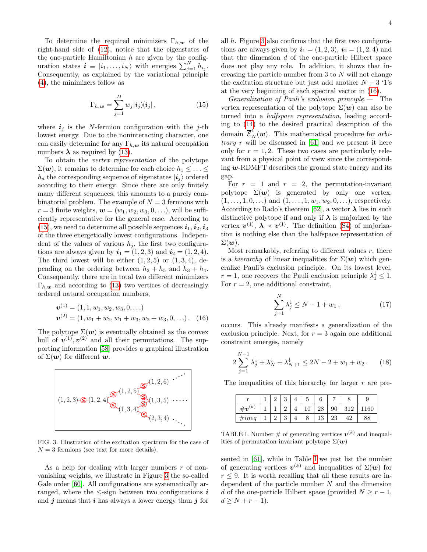To determine the required minimizers  $\Gamma_{h,\mathbf{w}}$  of the right-hand side of [\(12\)](#page-2-4), notice that the eigenstates of the one-particle Hamiltonian  $h$  are given by the configuration states  $\mathbf{i} \equiv |i_1,\ldots,i_N\rangle$  with energies  $\sum_{j=1}^N h_{i_j}$ . Consequently, as explained by the variational principle [\(4\)](#page-1-2), the minimizers follow as

<span id="page-3-0"></span>
$$
\Gamma_{h,\mathbf{w}} = \sum_{j=1}^{D} w_j |\mathbf{i}_j \rangle \langle \mathbf{i}_j | , \qquad (15)
$$

where  $i_j$  is the N-fermion configuration with the j-th lowest energy. Due to the noninteracting character, one can easily determine for any  $\Gamma_{h,\mathbf{w}}$  its natural occupation numbers  $\lambda$  as required by [\(13\)](#page-2-5).

To obtain the vertex representation of the polytope  $\Sigma(\boldsymbol{w})$ , it remains to determine for each choice  $h_1 \leq \ldots \leq$  $h_d$  the corresponding sequence of eigenstates  $|i_i\rangle$  ordered according to their energy. Since there are only finitely many different sequences, this amounts to a purely combinatorial problem. The example of  $N = 3$  fermions with  $r = 3$  finite weights,  $\boldsymbol{w} = (w_1, w_2, w_3, 0, \ldots)$ , will be sufficiently representative for the general case. According to [\(15\)](#page-3-0), we need to determine all possible sequences  $\boldsymbol{i}_1, \boldsymbol{i}_2, \boldsymbol{i}_3$ of the three energetically lowest configurations. Independent of the values of various  $h_i$ , the first two configurations are always given by  $i_1 = (1, 2, 3)$  and  $i_2 = (1, 2, 4)$ . The third lowest will be either  $(1, 2, 5)$  or  $(1, 3, 4)$ , depending on the ordering between  $h_2 + h_5$  and  $h_3 + h_4$ . Consequently, there are in total two different minimizers  $\Gamma_{h,\mathbf{w}}$  and according to [\(13\)](#page-2-5) two vertices of decreasingly ordered natural occupation numbers,

<span id="page-3-2"></span>
$$
\mathbf{v}^{(1)} = (1, 1, w_1, w_2, w_3, 0, \ldots)
$$
  

$$
\mathbf{v}^{(2)} = (1, w_1 + w_2, w_1 + w_3, w_2 + w_3, 0, \ldots).
$$
 (16)

The polytope  $\Sigma(\boldsymbol{w})$  is eventually obtained as the convex hull of  $v^{(1)}$ ,  $v^{(2)}$  and all their permutations. The supporting information [\[58\]](#page-6-2) provides a graphical illustration of  $\Sigma(\boldsymbol{w})$  for different  $\boldsymbol{w}$ .



<span id="page-3-1"></span>FIG. 3. Illustration of the excitation spectrum for the case of  $N = 3$  fermions (see text for more details).

As a help for dealing with larger numbers  $r$  of nonvanishing weights, we illustrate in Figure [3](#page-3-1) the so-called Gale order [\[60\]](#page-6-4). All configurations are systematically arranged, where the  $\leq$ -sign between two configurations  $i$ and  $j$  means that  $i$  has always a lower energy than  $j$  for

all  $h$ . Figure [3](#page-3-1) also confirms that the first two configurations are always given by  $i_1 = (1, 2, 3), i_2 = (1, 2, 4)$  and that the dimension  $d$  of the one-particle Hilbert space does not play any role. In addition, it shows that increasing the particle number from 3 to N will not change the excitation structure but just add another  $N - 3$  '1's at the very beginning of each spectral vector in [\(16\)](#page-3-2).

Generalization of Pauli's exclusion principle.— The vertex representation of the polytope  $\Sigma(\boldsymbol{w})$  can also be turned into a halfspace representation, leading according to [\(14\)](#page-2-6) to the desired practical description of the domain  $\overline{\mathcal{E}}_N^1(w)$ . This mathematical procedure for arbi*trary*  $r$  will be discussed in [\[61\]](#page-6-5) and we present it here only for  $r = 1, 2$ . These two cases are particularly relevant from a physical point of view since the corresponding  $w$ -RDMFT describes the ground state energy and its gap.

For  $r = 1$  and  $r = 2$ , the permutation-invariant polytope  $\Sigma(\boldsymbol{w})$  is generated by only one vertex,  $(1, \ldots, 1, 0, \ldots)$  and  $(1, \ldots, 1, w_1, w_2, 0, \ldots)$ , respectively. According to Rado's theorem [\[62\]](#page-6-6), a vector  $\lambda$  lies in such distinctive polytope if and only if  $\lambda$  is majorized by the vertex  $v^{(1)}$ ,  $\lambda \prec v^{(1)}$ . The definition [\(S4\)](#page-1-2) of majorization is nothing else than the halfspace representation of  $\Sigma(\boldsymbol{w})$ .

Most remarkably, referring to different values  $r$ , there is a *hierarchy* of linear inequalities for  $\Sigma(\boldsymbol{w})$  which generalize Pauli's exclusion principle. On its lowest level,  $r = 1$ , one recovers the Pauli exclusion principle  $\lambda_1^{\downarrow} \leq 1$ . For  $r = 2$ , one additional constraint,

$$
\sum_{j=1}^{N} \lambda_j^{\downarrow} \le N - 1 + w_1 , \qquad (17)
$$

occurs. This already manifests a generalization of the exclusion principle. Next, for  $r = 3$  again one additional constraint emerges, namely

$$
2\sum_{j=1}^{N-1} \lambda_j^{\downarrow} + \lambda_N^{\downarrow} + \lambda_{N+1}^{\downarrow} \le 2N - 2 + w_1 + w_2. \tag{18}
$$

The inequalities of this hierarchy for larger  $r$  are pre-

|             |  | u       | ۔ |         |    |     |    |
|-------------|--|---------|---|---------|----|-----|----|
| $\#v^{(k)}$ |  |         |   | റ<br>20 | 90 | 210 | 60 |
| $\#ineq$    |  | ິ<br>IJ |   | २<br>⊥∪ | ∠ບ |     | ပပ |

<span id="page-3-3"></span>TABLE I. Number  $\#$  of generating vertices  $v^{(k)}$  and inequalities of permutation-invariant polytope  $\Sigma(\boldsymbol{w})$ 

sented in [\[61\]](#page-6-5), while in Table [I](#page-3-3) we just list the number of generating vertices  $v^{(k)}$  and inequalities of  $\Sigma(w)$  for  $r \leq 9$ . It is worth recalling that all these results are independent of the particle number  $N$  and the dimension d of the one-particle Hilbert space (provided  $N \geq r-1$ ,  $d \geq N + r - 1$ .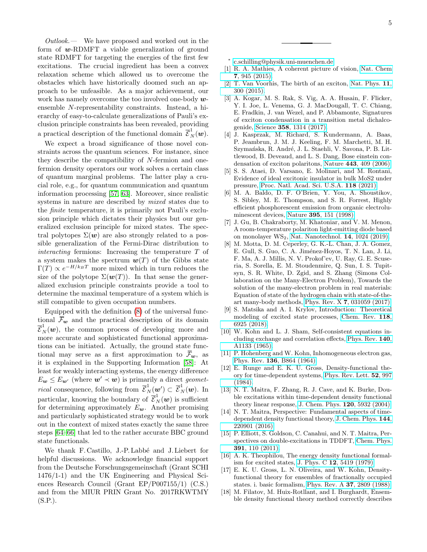Outlook.— We have proposed and worked out in the form of  $w$ -RDMFT a viable generalization of ground state RDMFT for targeting the energies of the first few excitations. The crucial ingredient has been a convex relaxation scheme which allowed us to overcome the obstacles which have historically doomed such an approach to be unfeasible. As a major achievement, our work has namely overcome the too involved one-body  $w$ ensemble N-representability constraints. Instead, a hierarchy of easy-to-calculate generalizations of Pauli's exclusion principle constraints has been revealed, providing a practical description of the functional domain  $\overline{\mathcal{E}}_N^1(\boldsymbol{w})$ .

We expect a broad significance of those novel constraints across the quantum sciences. For instance, since they describe the compatibility of N-fermion and onefermion density operators our work solves a certain class of quantum marginal problems. The latter play a crucial role, e.g., for quantum communication and quantum information processing [\[57,](#page-6-1) [63\]](#page-6-7). Moreover, since realistic systems in nature are described by mixed states due to the finite temperature, it is primarily not Pauli's exclusion principle which dictates their physics but our generalized exclusion principle for mixed states. The spectral polytopes  $\Sigma(\boldsymbol{w})$  are also strongly related to a possible generalization of the Fermi-Dirac distribution to interacting fermions: Increasing the temperature T of a system makes the spectrum  $w(T)$  of the Gibbs state  $\Gamma(T) \propto e^{-H/k_B T}$  more mixed which in turn reduces the size of the polytope  $\Sigma(\mathbf{w}(T))$ . In that sense the generalized exclusion principle constraints provide a tool to determine the maximal temperature of a system which is still compatible to given occupation numbers.

Equipped with the definition [\(8\)](#page-2-0) of the universal functional  $\bar{\mathcal{F}}_{w}$  and the practical description of its domain  $\overline{\mathcal{E}}_N^1(\boldsymbol{w}),$  the common process of developing more and more accurate and sophisticated functional approximations can be initiated. Actually, the ground state functional may serve as a first approximation to  $\bar{\mathcal{F}}_{w}$ , as it is explained in the Supporting Information [\[58\]](#page-6-2): At least for weakly interacting systems, the energy difference  $E_{\mathbf{w}} \leq E_{\mathbf{w}'}$  (where  $\mathbf{w}' \prec \mathbf{w}$ ) is primarily a direct geomet*rical* consequence, following from  $\overline{\mathcal{E}}_N^1(\boldsymbol{w}') \subset \overline{\mathcal{E}}_N^1(\boldsymbol{w})$ . In particular, knowing the boundary of  $\overline{\mathcal{E}}_N^1(\boldsymbol{w})$  is sufficient for determining approximately  $E_{w}$ . Another promising and particularly sophisticated strategy would be to work out in the context of mixed states exactly the same three steps [\[64](#page-6-8)[–66\]](#page-6-9) that led to the rather accurate BBC ground state functionals.

We thank F. Castillo, J.-P. Labbé and J. Liebert for helpful discussions. We acknowledge financial support from the Deutsche Forschungsgemeinschaft (Grant SCHI 1476/1-1) and the UK Engineering and Physical Sciences Research Council (Grant EP/P007155/1) (C.S.) and from the MIUR PRIN Grant No. 2017RKWTMY (S.P.).

- <span id="page-4-0"></span>∗ [c.schilling@physik.uni-muenchen.de](mailto:c.schilling@physik.uni-muenchen.de)
- <span id="page-4-1"></span>[1] R. A. Mathies, A coherent picture of vision, [Nat. Chem](https://doi.org/10.1038/nchem.2406) 7[, 945 \(2015\).](https://doi.org/10.1038/nchem.2406)
- <span id="page-4-2"></span>[2] T. Van Voorhis, The birth of an exciton, [Nat. Phys.](https://doi.org/10.1038/nphys3290) 11, [300 \(2015\).](https://doi.org/10.1038/nphys3290)
- <span id="page-4-3"></span>[3] A. Kogar, M. S. Rak, S. Vig, A. A. Husain, F. Flicker, Y. I. Joe, L. Venema, G. J. MacDougall, T. C. Chiang, E. Fradkin, J. van Wezel, and P. Abbamonte, Signatures of exciton condensation in a transition metal dichalcogenide, Science 358[, 1314 \(2017\).](https://doi.org/10.1126/science.aam6432)
- [4] J. Kasprzak, M. Richard, S. Kundermann, A. Baas, P. Jeambrun, J. M. J. Keeling, F. M. Marchetti, M. H. Szymańska, R. André, J. L. Staehli, V. Savona, P. B. Littlewood, B. Deveaud, and L. S. Dang, Bose einstein condensation of exciton polaritons, Nature 443[, 409 \(2006\).](https://doi.org/10.1038/nature05131)
- <span id="page-4-4"></span>[5] S. S. Ataei, D. Varsano, E. Molinari, and M. Rontani, Evidence of ideal excitonic insulator in bulk MoS2 under pressure, [Proc. Natl. Acad. Sci. U.S.A.](https://www.pnas.org/content/118/13/e2010110118) 118 (2021).
- <span id="page-4-5"></span>[6] M. A. Baldo, D. F. O'Brien, Y. You, A. Shoustikov, S. Sibley, M. E. Thompson, and S. R. Forrest, Highly efficient phosphorescent emission from organic electroluminescent devices, Nature 395[, 151 \(1998\).](https://doi.org/10.1038/25954)
- <span id="page-4-6"></span>[7] J. Gu, B. Chakraborty, M. Khatoniar, and V. M. Menon, A room-temperature polariton light-emitting diode based on monolayer WS2, [Nat. Nanotechnol.](https://doi.org/10.1038/s41565-019-0543-6) 14, 1024 (2019).
- <span id="page-4-7"></span>[8] M. Motta, D. M. Ceperley, G. K.-L. Chan, J. A. Gomez, E. Gull, S. Guo, C. A. Jiménez-Hoyos, T. N. Lan, J. Li, F. Ma, A. J. Millis, N. V. Prokof'ev, U. Ray, G. E. Scuseria, S. Sorella, E. M. Stoudenmire, Q. Sun, I. S. Tupitsyn, S. R. White, D. Zgid, and S. Zhang (Simons Collaboration on the Many-Electron Problem), Towards the solution of the many-electron problem in real materials: Equation of state of the hydrogen chain with state-of-theart many-body methods, Phys. Rev. X 7[, 031059 \(2017\).](https://doi.org/10.1103/PhysRevX.7.031059)
- <span id="page-4-8"></span>[9] S. Matsika and A. I. Krylov, Introduction: Theoretical modeling of excited state processes, [Chem. Rev.](https://doi.org/10.1021/acs.chemrev.8b00436) 118, [6925 \(2018\).](https://doi.org/10.1021/acs.chemrev.8b00436)
- <span id="page-4-9"></span>[10] W. Kohn and L. J. Sham, Self-consistent equations including exchange and correlation effects, [Phys. Rev.](https://doi.org/10.1103/PhysRev.140.A1133) 140, [A1133 \(1965\).](https://doi.org/10.1103/PhysRev.140.A1133)
- <span id="page-4-10"></span>[11] P. Hohenberg and W. Kohn, Inhomogeneous electron gas, Phys. Rev. 136[, B864 \(1964\).](https://doi.org/10.1103/PhysRev.136.B864)
- <span id="page-4-11"></span>[12] E. Runge and E. K. U. Gross, Density-functional theory for time-dependent systems, [Phys. Rev. Lett.](https://doi.org/10.1103/PhysRevLett.52.997) 52, 997 [\(1984\).](https://doi.org/10.1103/PhysRevLett.52.997)
- <span id="page-4-12"></span>[13] N. T. Maitra, F. Zhang, R. J. Cave, and K. Burke, Double excitations within time-dependent density functional theory linear response, [J. Chem. Phys.](https://doi.org/10.1063/1.1651060) 120, 5932 (2004).
- [14] N. T. Maitra, Perspective: Fundamental aspects of timedependent density functional theory, [J. Chem. Phys.](https://doi.org/10.1063/1.4953039) 144, [220901 \(2016\).](https://doi.org/10.1063/1.4953039)
- <span id="page-4-13"></span>[15] P. Elliott, S. Goldson, C. Canahui, and N. T. Maitra, Perspectives on double-excitations in TDDFT, [Chem. Phys.](https://doi.org/10.1016/j.chemphys.2011.03.020) 391[, 110 \(2011\).](https://doi.org/10.1016/j.chemphys.2011.03.020)
- <span id="page-4-14"></span>[16] A. K. Theophilou, The energy density functional formalism for excited states, J. Phys. C 12[, 5419 \(1979\).](https://doi.org/10.1088/0022-3719/12/24/013)
- [17] E. K. U. Gross, L. N. Oliveira, and W. Kohn, Densityfunctional theory for ensembles of fractionally occupied states. i. basic formalism, [Phys. Rev. A](https://doi.org/10.1103/PhysRevA.37.2809) 37, 2809 (1988).
- [18] M. Filatov, M. Huix-Rotllant, and I. Burghardt, Ensemble density functional theory method correctly describes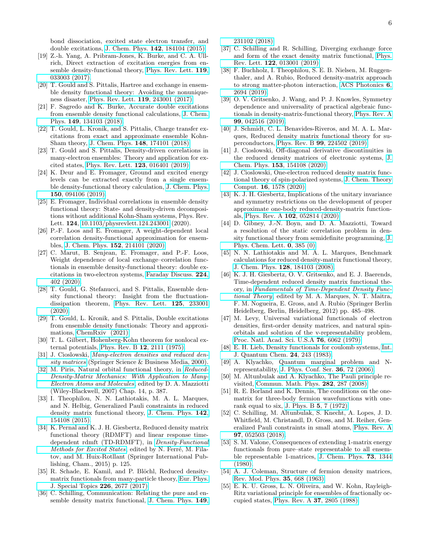bond dissociation, excited state electron transfer, and double excitations, J. Chem. Phys. 142[, 184104 \(2015\).](https://doi.org/10.1063/1.4919773)

- [19] Z.-h. Yang, A. Pribram-Jones, K. Burke, and C. A. Ullrich, Direct extraction of excitation energies from ensemble density-functional theory, [Phys. Rev. Lett.](https://doi.org/10.1103/PhysRevLett.119.033003) 119, [033003 \(2017\).](https://doi.org/10.1103/PhysRevLett.119.033003)
- [20] T. Gould and S. Pittalis, Hartree and exchange in ensemble density functional theory: Avoiding the nonuniqueness disaster, [Phys. Rev. Lett.](https://doi.org/10.1103/PhysRevLett.119.243001) 119, 243001 (2017).
- [21] F. Sagredo and K. Burke, Accurate double excitations from ensemble density functional calculations, [J. Chem.](https://doi.org/10.1063/1.5043411) Phys. 149[, 134103 \(2018\).](https://doi.org/10.1063/1.5043411)
- [22] T. Gould, L. Kronik, and S. Pittalis, Charge transfer excitations from exact and approximate ensemble Kohn-Sham theory, J. Chem. Phys. 148[, 174101 \(2018\).](https://doi.org/10.1063/1.5022832)
- [23] T. Gould and S. Pittalis, Density-driven correlations in many-electron ensembles: Theory and application for excited states, [Phys. Rev. Lett.](https://doi.org/10.1103/PhysRevLett.123.016401) 123, 016401 (2019).
- [24] K. Deur and E. Fromager, Ground and excited energy levels can be extracted exactly from a single ensemble density-functional theory calculation, [J. Chem. Phys.](https://doi.org/10.1063/1.5084312) 150[, 094106 \(2019\).](https://doi.org/10.1063/1.5084312)
- [25] E. Fromager, Individual correlations in ensemble density functional theory: State- and density-driven decompositions without additional Kohn-Sham systems, Phys. Rev. Lett. 124, [10.1103/physrevlett.124.243001](https://doi.org/10.1103/physrevlett.124.243001) (2020).
- [26] P.-F. Loos and E. Fromager, A weight-dependent local correlation density-functional approximation for ensembles, [J. Chem. Phys.](https://doi.org/10.1063/5.0007388) 152, 214101 (2020).
- [27] C. Marut, B. Senjean, E. Fromager, and P.-F. Loos, Weight dependence of local exchange–correlation functionals in ensemble density-functional theory: double excitations in two-electron systems, [Faraday Discuss.](http://dx.doi.org/10.1039/D0FD00059K) 224, [402 \(2020\).](http://dx.doi.org/10.1039/D0FD00059K)
- [28] T. Gould, G. Stefanucci, and S. Pittalis, Ensemble density functional theory: Insight from the fluctuationdissipation theorem, [Phys. Rev. Lett.](https://doi.org/10.1103/PhysRevLett.125.233001) 125, 233001 [\(2020\).](https://doi.org/10.1103/PhysRevLett.125.233001)
- <span id="page-5-0"></span>[29] T. Gould, L. Kronik, and S. Pittalis, Double excitations from ensemble density functionals: Theory and approximations, [ChemRxiv \(2021\).](https://chemrxiv.org/articles/preprint/Double_Excitations_from_Ensemble_Density_Functionals_Theory_and_Approximations/14498238)
- <span id="page-5-1"></span>[30] T. L. Gilbert, Hohenberg-Kohn theorem for nonlocal external potentials, [Phys. Rev. B](https://doi.org/10.1103/PhysRevB.12.2111) 12, 2111 (1975).
- <span id="page-5-2"></span>[31] J. Cioslowski, [Many-electron densities and reduced den](https://www.springer.com/la/book/9780306464546)[sity matrices](https://www.springer.com/la/book/9780306464546) (Springer Science & Business Media, 2000).
- [32] M. Piris, Natural orbital functional theory, in [Reduced-](https://doi.org/10.1002/9780470106600.ch14)[Density-Matrix Mechanics: With Application to Many-](https://doi.org/10.1002/9780470106600.ch14)[Electron Atoms and Molecules](https://doi.org/10.1002/9780470106600.ch14), edited by D. A. Mazziotti (Wiley-Blackwell, 2007) Chap. 14, p. 387.
- [33] I. Theophilou, N. N. Lathiotakis, M. A. L. Marques, and N. Helbig, Generalized Pauli constraints in reduced density matrix functional theory, [J. Chem. Phys.](https://doi.org/10.1063/1.4918346) 142, [154108 \(2015\).](https://doi.org/10.1063/1.4918346)
- <span id="page-5-5"></span>[34] K. Pernal and K. J. H. Giesbertz, Reduced density matrix functional theory (RDMFT) and linear response timedependent rdmft (TD-RDMFT), in [Density-Functional](https://doi.org/10.1007/128_2015_624) [Methods for Excited States](https://doi.org/10.1007/128_2015_624), edited by N. Ferré, M. Filatov, and M. Huix-Rotllant (Springer International Publishing, Cham., 2015) p. 125.
- [35] R. Schade, E. Kamil, and P. Blöchl, Reduced densitymatrix functionals from many-particle theory, [Eur. Phys.](https://doi.org/10.1140/epjst/e2017-70046-0) [J. Special Topics](https://doi.org/10.1140/epjst/e2017-70046-0) 226, 2677 (2017).
- <span id="page-5-14"></span>[36] C. Schilling, Communication: Relating the pure and ensemble density matrix functional, [J. Chem. Phys.](https://doi.org/10.1063/1.5080088) 149,

[231102 \(2018\).](https://doi.org/10.1063/1.5080088)

- [37] C. Schilling and R. Schilling, Diverging exchange force and form of the exact density matrix functional, [Phys.](https://doi.org/10.1103/PhysRevLett.122.013001) Rev. Lett. 122[, 013001 \(2019\).](https://doi.org/10.1103/PhysRevLett.122.013001)
- [38] F. Buchholz, I. Theophilou, S. E. B. Nielsen, M. Ruggenthaler, and A. Rubio, Reduced density-matrix approach to strong matter-photon interaction, [ACS Photonics](https://doi.org/10.1021/acsphotonics.9b00648) 6, [2694 \(2019\).](https://doi.org/10.1021/acsphotonics.9b00648)
- [39] O. V. Gritsenko, J. Wang, and P. J. Knowles, Symmetry dependence and universality of practical algebraic functionals in density-matrix-functional theory, [Phys. Rev. A](https://doi.org/10.1103/PhysRevA.99.042516) 99[, 042516 \(2019\).](https://doi.org/10.1103/PhysRevA.99.042516)
- [40] J. Schmidt, C. L. Benavides-Riveros, and M. A. L. Marques, Reduced density matrix functional theory for superconductors, Phys. Rev. B 99[, 224502 \(2019\).](https://link.aps.org/doi/10.1103/PhysRevB.99.224502)
- [41] J. Cioslowski, Off-diagonal derivative discontinuities in the reduced density matrices of electronic systems, [J.](https://doi.org/10.1063/5.0023955) Chem. Phys. 153[, 154108 \(2020\).](https://doi.org/10.1063/5.0023955)
- [42] J. Cioslowski, One-electron reduced density matrix functional theory of spin-polarized systems, [J. Chem. Theory](https://doi.org/10.1021/acs.jctc.9b01155) Comput. 16[, 1578 \(2020\).](https://doi.org/10.1021/acs.jctc.9b01155)
- [43] K. J. H. Giesbertz, Implications of the unitary invariance and symmetry restrictions on the development of proper approximate one-body reduced-density-matrix functionals, Phys. Rev. A 102[, 052814 \(2020\).](https://doi.org/10.1103/PhysRevA.102.052814)
- <span id="page-5-3"></span>[44] D. Gibney, J.-N. Boyn, and D. A. Mazziotti, Toward a resolution of the static correlation problem in density functional theory from semidefinite programming, [J.](https://doi.org/10.1021/acs.jpclett.0c03371) [Phys. Chem. Lett.](https://doi.org/10.1021/acs.jpclett.0c03371) 0, 385 (0).
- <span id="page-5-4"></span>[45] N. N. Lathiotakis and M. A. L. Marques, Benchmark calculations for reduced density-matrix functional theory, J. Chem. Phys. 128[, 184103 \(2008\).](https://aip.scitation.org/doi/abs/10.1063/1.2899328)
- <span id="page-5-6"></span>[46] K. J. H. Giesbertz, O. V. Gritsenko, and E. J. Baerends, Time-dependent reduced density matrix functional theory, in [Fundamentals of Time-Dependent Density Func](https://doi.org/10.1007/978-3-642-23518-4_26)[tional Theory](https://doi.org/10.1007/978-3-642-23518-4_26), edited by M. A. Marques, N. T. Maitra, F. M. Nogueira, E. Gross, and A. Rubio (Springer Berlin Heidelberg, Berlin, Heidelberg, 2012) pp. 485–498.
- <span id="page-5-7"></span>[47] M. Levy, Universal variational functionals of electron densities, first-order density matrices, and natural spinorbitals and solution of the v-representability problem, [Proc. Natl. Acad. Sci. U.S.A](http://www.pnas.org/content/76/12/6062) 76, 6062 (1979).
- <span id="page-5-8"></span>[48] E. H. Lieb, Density functionals for coulomb systems, [Int.](https://doi.org/10.1002/qua.560240302) [J. Quantum Chem.](https://doi.org/10.1002/qua.560240302) 24, 243 (1983).
- <span id="page-5-9"></span>[49] A. Klyachko, Quantum marginal problem and Nrepresentability, [J. Phys. Conf. Ser.](http://stacks.iop.org/1742-6596/36/i=1/a=014) 36, 72 (2006).
- <span id="page-5-10"></span>[50] M. Altunbulak and A. Klyachko, The Pauli principle revisited, [Commun. Math. Phys.](https://doi.org/10.1007/s00220-008-0552-z) 282, 287 (2008).
- [51] R. E. Borland and K. Dennis, The conditions on the onematrix for three-body fermion wavefunctions with onerank equal to six, [J. Phys. B](http://stacks.iop.org/0022-3700/5/i=1/a=009) 5, 7 (1972).
- <span id="page-5-11"></span>[52] C. Schilling, M. Altunbulak, S. Knecht, A. Lopes, J. D. Whitfield, M. Christandl, D. Gross, and M. Reiher, Generalized Pauli constraints in small atoms, [Phys. Rev. A](https://doi.org/10.1103/PhysRevA.97.052503) 97[, 052503 \(2018\).](https://doi.org/10.1103/PhysRevA.97.052503)
- <span id="page-5-12"></span>[53] S. M. Valone, Consequences of extending 1-matrix energy functionals from pure–state representable to all ensemble representable 1-matrices, [J. Chem. Phys.](https://doi.org/10.1063/1.440249) 73, 1344 [\(1980\).](https://doi.org/10.1063/1.440249)
- <span id="page-5-13"></span>[54] A. J. Coleman, Structure of fermion density matrices, [Rev. Mod. Phys.](https://doi.org/10.1103/RevModPhys.35.668) 35, 668 (1963).
- <span id="page-5-15"></span>[55] E. K. U. Gross, L. N. Oliveira, and W. Kohn, Rayleigh-Ritz variational principle for ensembles of fractionally occupied states, [Phys. Rev. A](https://doi.org/10.1103/PhysRevA.37.2805) 37, 2805 (1988).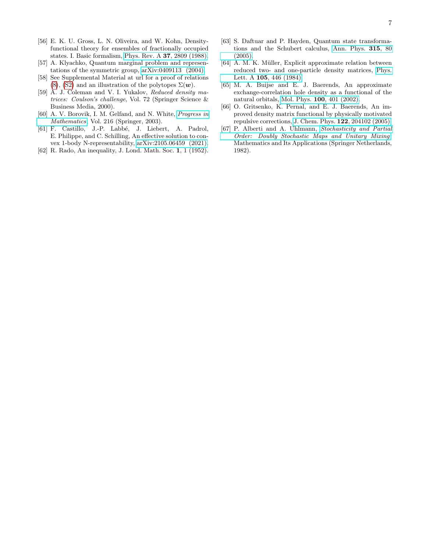- <span id="page-6-0"></span>[56] E. K. U. Gross, L. N. Oliveira, and W. Kohn, Densityfunctional theory for ensembles of fractionally occupied states. I. Basic formalism, [Phys. Rev. A](https://doi.org/10.1103/PhysRevA.37.2809) 37, 2809 (1988).
- <span id="page-6-1"></span>[57] A. Klyachko, Quantum marginal problem and representations of the symmetric group, [arXiv:0409113 \(2004\).](http://arxiv.org/abs/0409113)
- <span id="page-6-2"></span>[58] See Supplemental Material at url for a proof of relations [\(8\)](#page-2-0), [\(S2\)](#page-1-1) and an illustration of the polytopes  $\Sigma(\boldsymbol{w})$ .
- <span id="page-6-3"></span>[59] A. J. Coleman and V. I. Yukalov, Reduced density matrices: Coulson's challenge, Vol. 72 (Springer Science & Business Media, 2000).
- <span id="page-6-4"></span>[60] A. V. Borovik, I. M. Gelfand, and N. White, [Progress in](https://link.springer.com/book/10.1007/978-1-4612-2066-4) [Mathematics](https://link.springer.com/book/10.1007/978-1-4612-2066-4), Vol. 216 (Springer, 2003).
- <span id="page-6-5"></span>[61] F. Castillo, J.-P. Labbé, J. Liebert, A. Padrol, E. Philippe, and C. Schilling, An effective solution to convex 1-body N-representability, [arXiv:2105.06459 \(2021\).](https://arxiv.org/abs/2105.06459)
- <span id="page-6-6"></span>[62] R. Rado, An inequality, J. Lond. Math. Soc. 1, 1 (1952).
- <span id="page-6-7"></span>[63] S. Daftuar and P. Hayden, Quantum state transformations and the Schubert calculus, [Ann. Phys.](https://www.sciencedirect.com/science/article/pii/S0003491604001770) 315, 80 [\(2005\).](https://www.sciencedirect.com/science/article/pii/S0003491604001770)
- <span id="page-6-8"></span>[64] A. M. K. Müller, Explicit approximate relation between reduced two- and one-particle density matrices, [Phys.](http://www.sciencedirect.com/science/article/pii/037596018491034X) Lett. A 105[, 446 \(1984\).](http://www.sciencedirect.com/science/article/pii/037596018491034X)
- [65] M. A. Buijse and E. J. Baerends, An approximate exchange-correlation hole density as a functional of the natural orbitals, Mol. Phys. 100[, 401 \(2002\).](https://www.tandfonline.com/doi/citedby/10.1080/00268970110070243?scroll=top&needAccess=true)
- <span id="page-6-9"></span>[66] O. Gritsenko, K. Pernal, and E. J. Baerends, An improved density matrix functional by physically motivated repulsive corrections, J. Chem. Phys. 122[, 204102 \(2005\).](https://aip.scitation.org/doi/abs/10.1063/1.1906203)
- <span id="page-6-10"></span>[67] P. Alberti and A. Uhlmann, [Stochasticity and Partial](https://books.google.co.uk/books?id=cVHTS7cjkqsC) [Order: Doubly Stochastic Maps and Unitary Mixing](https://books.google.co.uk/books?id=cVHTS7cjkqsC), Mathematics and Its Applications (Springer Netherlands, 1982).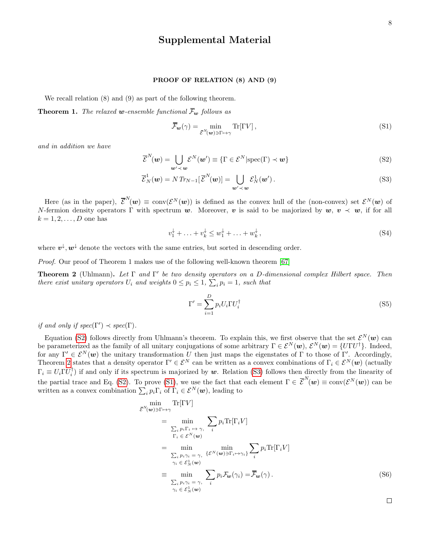## Supplemental Material

## PROOF OF RELATION (8) AND (9)

We recall relation (8) and (9) as part of the following theorem.

**Theorem 1.** The relaxed **w**-ensemble functional  $\overline{\mathcal{F}}_w$  follows as

$$
\overline{\mathcal{F}}_{\mathbf{w}}(\gamma) = \min_{\overline{\mathcal{E}}^{N}(\mathbf{w}) \ni \Gamma \mapsto \gamma} \text{Tr}[\Gamma V],\tag{S1}
$$

and in addition we have

$$
\overline{\mathcal{E}}^{N}(\boldsymbol{w}) = \bigcup_{\boldsymbol{w}' \prec \boldsymbol{w}} \mathcal{E}^{N}(\boldsymbol{w}') \equiv \{ \Gamma \in \mathcal{E}^{N} | \text{spec}(\Gamma) \prec \boldsymbol{w} \}
$$
(S2)

$$
\overline{\mathcal{E}}_N^1(\boldsymbol{w}) = N \operatorname{Tr}_{N-1} [\overline{\mathcal{E}}^N(\boldsymbol{w})] = \bigcup_{\boldsymbol{w}' \prec \boldsymbol{w}} \mathcal{E}_N^1(\boldsymbol{w}'). \tag{S3}
$$

Here (as in the paper),  $\bar{\mathcal{E}}^N(w) \equiv \text{conv}(\mathcal{E}^N(w))$  is defined as the convex hull of the (non-convex) set  $\mathcal{E}^N(w)$  of N-fermion density operators  $\Gamma$  with spectrum w. Moreover, v is said to be majorized by  $w, v \prec w$ , if for all  $k = 1, 2, \ldots, D$  one has

$$
v_1^{\downarrow} + \ldots + v_k^{\downarrow} \le w_1^{\downarrow} + \ldots + w_k^{\downarrow}, \tag{S4}
$$

where  $v^{\downarrow}, w^{\downarrow}$  denote the vectors with the same entries, but sorted in descending order.

Proof. Our proof of Theorem 1 makes use of the following well-known theorem [\[67\]](#page-6-10)

<span id="page-7-0"></span>**Theorem 2** (Uhlmann). Let  $\Gamma$  and  $\Gamma'$  be two density operators on a D-dimensional complex Hilbert space. Then there exist unitary operators  $U_i$  and weights  $0 \leq p_i \leq 1$ ,  $\sum_i p_i = 1$ , such that

$$
\Gamma' = \sum_{i=1}^{D} p_i U_i \Gamma U_i^{\dagger} \tag{S5}
$$

if and only if  $spec(\Gamma') \prec spec(\Gamma)$ .

Equation [\(S2\)](#page-1-1) follows directly from Uhlmann's theorem. To explain this, we first observe that the set  $\mathcal{E}^N(w)$  can be parameterized as the family of all unitary conjugations of some arbitrary  $\Gamma \in \mathcal{E}^N(\bm{w}), \mathcal{E}^N(\bm{w}) = \{U\Gamma U^{\dagger}\}.$  Indeed, for any  $\Gamma' \in \mathcal{E}^N(\omega)$  the unitary transformation U then just maps the eigenstates of Γ to those of Γ'. Accordingly, Theorem [2](#page-7-0) states that a density operator  $\Gamma' \in \mathcal{E}^N$  can be written as a convex combinations of  $\Gamma_i \in \mathcal{E}^N(w)$  (actually  $\Gamma_i \equiv U_i \Gamma U_i^{\dagger}$  if and only if its spectrum is majorized by w. Relation [\(S3\)](#page-1-1) follows then directly from the linearity of the partial trace and Eq. [\(S2\)](#page-1-1). To prove [\(S1\)](#page-1-0), we use the fact that each element  $\Gamma \in \mathcal{E}^N(\bm{w}) \equiv \text{conv}(\mathcal{E}^N(\bm{w}))$  can be written as a convex combination  $\sum_i p_i \Gamma_i$  of  $\Gamma_i \in \mathcal{E}^N(\boldsymbol{w})$ , leading to

$$
\begin{split}\n&\min_{\mathcal{E}^{N}(\mathbf{w})\ni\Gamma\mapsto\gamma}\text{Tr}[\Gamma V] \\
&= \min_{\sum_{i}p_{i}\Gamma_{i}\mapsto\gamma,\qquad i}\sum_{i}p_{i}\text{Tr}[\Gamma_{i}V] \\
&= \min_{\sum_{i}p_{i}\gamma_{i}=\gamma,\qquad \{\mathcal{E}^{N}(\mathbf{w})\ni\Gamma_{i}\mapsto\gamma_{i}\}}\sum_{i}p_{i}\text{Tr}[\Gamma_{i}V] \\
&= \min_{\gamma_{i}\in\mathcal{E}_{N}^{1}(\mathbf{w})}\n&\equiv \min_{\sum_{i}p_{i}\gamma_{i}=\gamma,\qquad i}p_{i}\mathcal{F}_{\mathbf{w}}(\gamma_{i})=\overline{\mathcal{F}}_{\mathbf{w}}(\gamma)\,.\n\end{split} \tag{S6}
$$

 $\Box$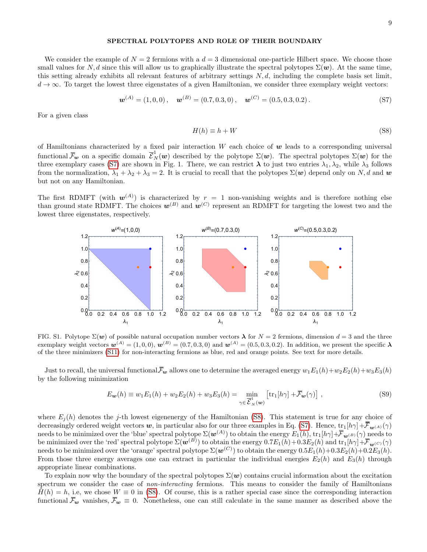## SPECTRAL POLYTOPES AND ROLE OF THEIR BOUNDARY

We consider the example of  $N = 2$  fermions with a  $d = 3$  dimensional one-particle Hilbert space. We choose those small values for N, d since this will allow us to graphically illustrate the spectral polytopes  $\Sigma(\mathbf{w})$ . At the same time, this setting already exhibits all relevant features of arbitrary settings  $N, d$ , including the complete basis set limit,  $d \to \infty$ . To target the lowest three eigenstates of a given Hamiltonian, we consider three exemplary weight vectors:

$$
\mathbf{w}^{(A)} = (1,0,0), \quad \mathbf{w}^{(B)} = (0.7,0.3,0), \quad \mathbf{w}^{(C)} = (0.5,0.3,0.2). \tag{S7}
$$

For a given class

$$
H(h) \equiv h + W \tag{S8}
$$

of Hamiltonians characterized by a fixed pair interaction  $W$  each choice of  $w$  leads to a corresponding universal functional  $\bar{\mathcal{F}}_{w}$  on a specific domain  $\bar{\mathcal{E}}_{N}^{1}(w)$  described by the polytope  $\Sigma(w)$ . The spectral polytopes  $\Sigma(w)$  for the three exemplary cases [\(S7\)](#page-2-7) are shown in Fig. 1. There, we can restrict  $\lambda$  to just two entries  $\lambda_1, \lambda_2$ , while  $\lambda_3$  follows from the normalization,  $\lambda_1 + \lambda_2 + \lambda_3 = 2$ . It is crucial to recall that the polytopes  $\Sigma(\boldsymbol{w})$  depend only on N, d and  $\boldsymbol{w}$ but not on any Hamiltonian.

The first RDMFT (with  $w^{(A)}$ ) is characterized by  $r = 1$  non-vanishing weights and is therefore nothing else than ground state RDMFT. The choices  $w^{(B)}$  and  $w^{(C)}$  represent an RDMFT for targeting the lowest two and the lowest three eigenstates, respectively.



FIG. S1. Polytope  $\Sigma(\boldsymbol{w})$  of possible natural occupation number vectors  $\lambda$  for  $N=2$  fermions, dimension  $d=3$  and the three exemplary weight vectors  $\mathbf{w}^{(A)} = (1, 0, 0)$ ,  $\mathbf{w}^{(B)} = (0.7, 0.3, 0)$  and  $\mathbf{w}^{(A)} = (0.5, 0.3, 0.2)$ . In addition, we present the specific  $\lambda$ of the three minimizers [\(S11\)](#page-2-2) for non-interacting fermions as blue, red and orange points. See text for more details.

Just to recall, the universal functional  $\bar{F}_{w}$  allows one to determine the averaged energy  $w_1E_1(h)+w_2E_2(h)+w_3E_3(h)$ by the following minimization

$$
E_{\mathbf{w}}(h) \equiv w_1 E_1(h) + w_2 E_2(h) + w_3 E_3(h) = \min_{\gamma \in \overline{\mathcal{E}}_N^1(\mathbf{w})} \left[ \text{tr}_1[h\gamma] + \overline{\mathcal{F}}_{\mathbf{w}}(\gamma) \right],\tag{S9}
$$

where  $E_i(h)$  denotes the j-th lowest eigenenergy of the Hamiltonian [\(S8\)](#page-2-0). This statement is true for any choice of decreasingly ordered weight vectors w, in particular also for our three examples in Eq. [\(S7\)](#page-2-7). Hence,  $\text{tr}_1[h\gamma] + \overline{\mathcal{F}}_{w^{(A)}}(\gamma)$ needs to be minimized over the 'blue' spectral polytope  $\Sigma(\bm{w}^{(A)})$  to obtain the energy  $E_1(h),\,\text{tr}_1[h\gamma]\!+\!\overline{\!\mathcal{F}}_{\bm{w}^{(B)}}(\gamma)$  needs to be minimized over the 'red' spectral polytope  $\Sigma(\bm{w}^{(B)})$  to obtain the energy  $0.7E_1(h)+0.3E_2(h)$  and  $\mathrm{tr}_1[h\gamma]+\overline{\mathcal{F}}_{\bm{w}^{(C)}}(\gamma)$ needs to be minimized over the 'orange' spectral polytope  $\Sigma(\bm{w}^{(C)})$  to obtain the energy  $0.5E_1(h)+0.3E_2(h)+0.2E_3(h).$ From those three energy averages one can extract in particular the individual energies  $E_2(h)$  and  $E_3(h)$  through appropriate linear combinations.

To explain now why the boundary of the spectral polytopes  $\Sigma(w)$  contains crucial information about the excitation spectrum we consider the case of *non-interacting* fermions. This means to consider the family of Hamiltonians  $H(h) = h$ , i.e, we chose  $W \equiv 0$  in [\(S8\)](#page-2-0). Of course, this is a rather special case since the corresponding interaction functional  $\bar{F}_{w}$  vanishes,  $\bar{F}_{w} \equiv 0$ . Nonetheless, one can still calculate in the same manner as described above the